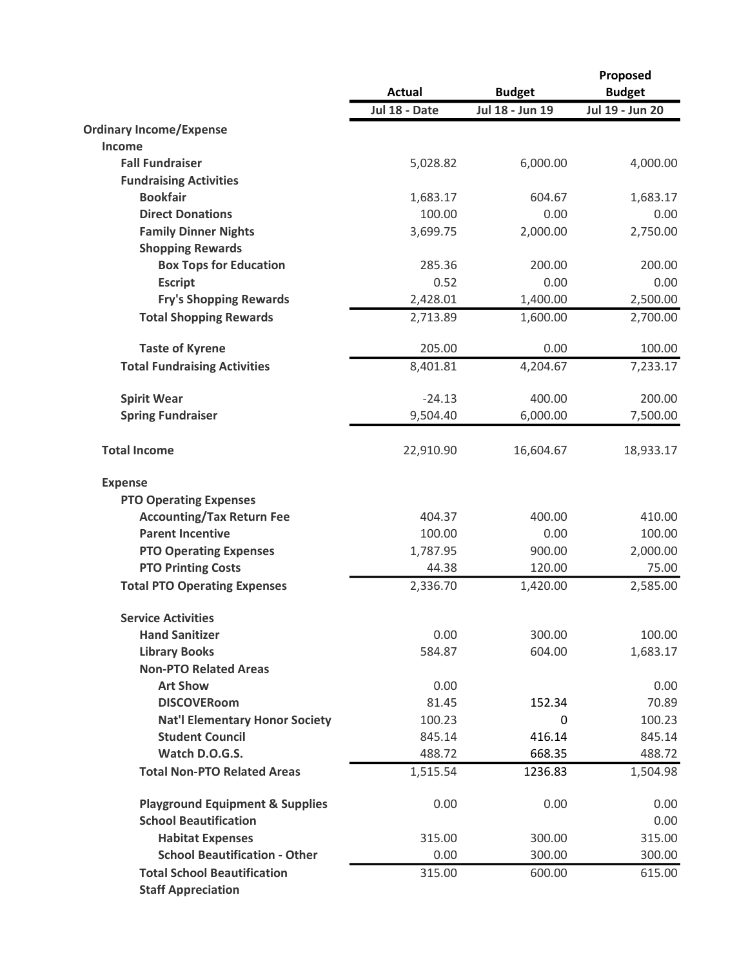|                                                                 | <b>Actual</b> | <b>Budget</b>   | Proposed<br><b>Budget</b> |
|-----------------------------------------------------------------|---------------|-----------------|---------------------------|
|                                                                 | Jul 18 - Date | Jul 18 - Jun 19 | Jul 19 - Jun 20           |
| <b>Ordinary Income/Expense</b>                                  |               |                 |                           |
| Income                                                          |               |                 |                           |
| <b>Fall Fundraiser</b>                                          | 5,028.82      | 6,000.00        | 4,000.00                  |
| <b>Fundraising Activities</b>                                   |               |                 |                           |
| <b>Bookfair</b>                                                 | 1,683.17      | 604.67          | 1,683.17                  |
| <b>Direct Donations</b>                                         | 100.00        | 0.00            | 0.00                      |
| <b>Family Dinner Nights</b>                                     | 3,699.75      | 2,000.00        | 2,750.00                  |
| <b>Shopping Rewards</b>                                         |               |                 |                           |
| <b>Box Tops for Education</b>                                   | 285.36        | 200.00          | 200.00                    |
| <b>Escript</b>                                                  | 0.52          | 0.00            | 0.00                      |
| <b>Fry's Shopping Rewards</b>                                   | 2,428.01      | 1,400.00        | 2,500.00                  |
| <b>Total Shopping Rewards</b>                                   | 2,713.89      | 1,600.00        | 2,700.00                  |
| <b>Taste of Kyrene</b>                                          | 205.00        | 0.00            | 100.00                    |
| <b>Total Fundraising Activities</b>                             | 8,401.81      | 4,204.67        | 7,233.17                  |
| <b>Spirit Wear</b>                                              | $-24.13$      | 400.00          | 200.00                    |
| <b>Spring Fundraiser</b>                                        | 9,504.40      | 6,000.00        | 7,500.00                  |
| <b>Total Income</b>                                             | 22,910.90     | 16,604.67       | 18,933.17                 |
| <b>Expense</b>                                                  |               |                 |                           |
| <b>PTO Operating Expenses</b>                                   |               |                 |                           |
| <b>Accounting/Tax Return Fee</b>                                | 404.37        | 400.00          | 410.00                    |
| <b>Parent Incentive</b>                                         | 100.00        | 0.00            | 100.00                    |
| <b>PTO Operating Expenses</b>                                   | 1,787.95      | 900.00          | 2,000.00                  |
| <b>PTO Printing Costs</b>                                       | 44.38         | 120.00          | 75.00                     |
| <b>Total PTO Operating Expenses</b>                             | 2,336.70      | 1,420.00        | 2,585.00                  |
| <b>Service Activities</b>                                       |               |                 |                           |
| <b>Hand Sanitizer</b>                                           | 0.00          | 300.00          | 100.00                    |
| <b>Library Books</b>                                            | 584.87        | 604.00          | 1,683.17                  |
| <b>Non-PTO Related Areas</b>                                    |               |                 |                           |
| <b>Art Show</b>                                                 | 0.00          |                 | 0.00                      |
| <b>DISCOVERoom</b>                                              | 81.45         | 152.34          | 70.89                     |
| <b>Nat'l Elementary Honor Society</b>                           | 100.23        | 0               | 100.23                    |
| <b>Student Council</b>                                          | 845.14        | 416.14          | 845.14                    |
| Watch D.O.G.S.                                                  | 488.72        | 668.35          | 488.72                    |
| <b>Total Non-PTO Related Areas</b>                              | 1,515.54      | 1236.83         | 1,504.98                  |
| <b>Playground Equipment &amp; Supplies</b>                      | 0.00          | 0.00            | 0.00                      |
| <b>School Beautification</b>                                    |               |                 | 0.00                      |
| <b>Habitat Expenses</b>                                         | 315.00        | 300.00          | 315.00                    |
| <b>School Beautification - Other</b>                            | 0.00          | 300.00          | 300.00                    |
| <b>Total School Beautification</b><br><b>Staff Appreciation</b> | 315.00        | 600.00          | 615.00                    |